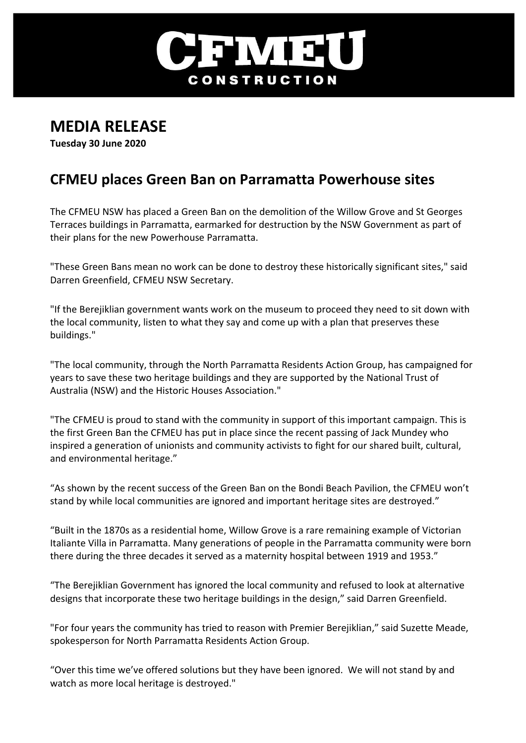

## **MEDIA RELEASE**

**Tuesday 30 June 2020**

## **CFMEU places Green Ban on Parramatta Powerhouse sites**

The CFMEU NSW has placed a Green Ban on the demolition of the Willow Grove and St Georges Terraces buildings in Parramatta, earmarked for destruction by the NSW Government as part of their plans for the new Powerhouse Parramatta.

"These Green Bans mean no work can be done to destroy these historically significant sites," said Darren Greenfield, CFMEU NSW Secretary.

"If the Berejiklian government wants work on the museum to proceed they need to sit down with the local community, listen to what they say and come up with a plan that preserves these buildings."

"The local community, through the North Parramatta Residents Action Group, has campaigned for years to save these two heritage buildings and they are supported by the National Trust of Australia (NSW) and the Historic Houses Association."

"The CFMEU is proud to stand with the community in support of this important campaign. This is the first Green Ban the CFMEU has put in place since the recent passing of Jack Mundey who inspired a generation of unionists and community activists to fight for our shared built, cultural, and environmental heritage."

"As shown by the recent success of the Green Ban on the Bondi Beach Pavilion, the CFMEU won't stand by while local communities are ignored and important heritage sites are destroyed."

"Built in the 1870s as a residential home, Willow Grove is a rare remaining example of Victorian Italiante Villa in Parramatta. Many generations of people in the Parramatta community were born there during the three decades it served as a maternity hospital between 1919 and 1953."

"The Berejiklian Government has ignored the local community and refused to look at alternative designs that incorporate these two heritage buildings in the design," said Darren Greenfield.

"For four years the community has tried to reason with Premier Berejiklian," said Suzette Meade, spokesperson for North Parramatta Residents Action Group.

"Over this time we've offered solutions but they have been ignored. We will not stand by and watch as more local heritage is destroyed."